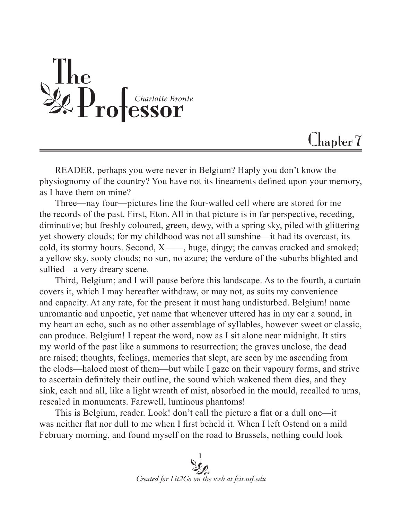

## $Chapter 7$

READER, perhaps you were never in Belgium? Haply you don't know the physiognomy of the country? You have not its lineaments defined upon your memory, as I have them on mine?

Three—nay four—pictures line the four-walled cell where are stored for me the records of the past. First, Eton. All in that picture is in far perspective, receding, diminutive; but freshly coloured, green, dewy, with a spring sky, piled with glittering yet showery clouds; for my childhood was not all sunshine—it had its overcast, its cold, its stormy hours. Second, X——, huge, dingy; the canvas cracked and smoked; a yellow sky, sooty clouds; no sun, no azure; the verdure of the suburbs blighted and sullied—a very dreary scene.

Third, Belgium; and I will pause before this landscape. As to the fourth, a curtain covers it, which I may hereafter withdraw, or may not, as suits my convenience and capacity. At any rate, for the present it must hang undisturbed. Belgium! name unromantic and unpoetic, yet name that whenever uttered has in my ear a sound, in my heart an echo, such as no other assemblage of syllables, however sweet or classic, can produce. Belgium! I repeat the word, now as I sit alone near midnight. It stirs my world of the past like a summons to resurrection; the graves unclose, the dead are raised; thoughts, feelings, memories that slept, are seen by me ascending from the clods—haloed most of them—but while I gaze on their vapoury forms, and strive to ascertain definitely their outline, the sound which wakened them dies, and they sink, each and all, like a light wreath of mist, absorbed in the mould, recalled to urns, resealed in monuments. Farewell, luminous phantoms!

This is Belgium, reader. Look! don't call the picture a flat or a dull one—it was neither flat nor dull to me when I first beheld it. When I left Ostend on a mild February morning, and found myself on the road to Brussels, nothing could look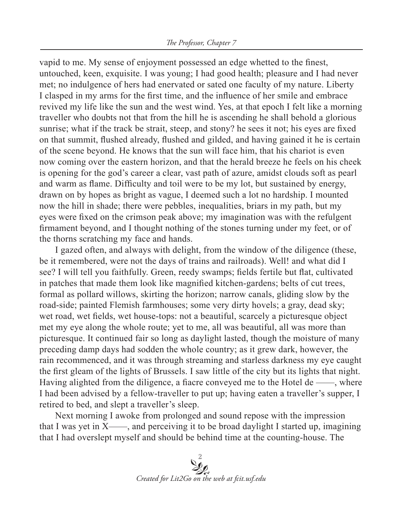vapid to me. My sense of enjoyment possessed an edge whetted to the finest, untouched, keen, exquisite. I was young; I had good health; pleasure and I had never met; no indulgence of hers had enervated or sated one faculty of my nature. Liberty I clasped in my arms for the first time, and the influence of her smile and embrace revived my life like the sun and the west wind. Yes, at that epoch I felt like a morning traveller who doubts not that from the hill he is ascending he shall behold a glorious sunrise; what if the track be strait, steep, and stony? he sees it not; his eyes are fixed on that summit, flushed already, flushed and gilded, and having gained it he is certain of the scene beyond. He knows that the sun will face him, that his chariot is even now coming over the eastern horizon, and that the herald breeze he feels on his cheek is opening for the god's career a clear, vast path of azure, amidst clouds soft as pearl and warm as flame. Difficulty and toil were to be my lot, but sustained by energy, drawn on by hopes as bright as vague, I deemed such a lot no hardship. I mounted now the hill in shade; there were pebbles, inequalities, briars in my path, but my eyes were fixed on the crimson peak above; my imagination was with the refulgent firmament beyond, and I thought nothing of the stones turning under my feet, or of the thorns scratching my face and hands.

I gazed often, and always with delight, from the window of the diligence (these, be it remembered, were not the days of trains and railroads). Well! and what did I see? I will tell you faithfully. Green, reedy swamps; fields fertile but flat, cultivated in patches that made them look like magnified kitchen-gardens; belts of cut trees, formal as pollard willows, skirting the horizon; narrow canals, gliding slow by the road-side; painted Flemish farmhouses; some very dirty hovels; a gray, dead sky; wet road, wet fields, wet house-tops: not a beautiful, scarcely a picturesque object met my eye along the whole route; yet to me, all was beautiful, all was more than picturesque. It continued fair so long as daylight lasted, though the moisture of many preceding damp days had sodden the whole country; as it grew dark, however, the rain recommenced, and it was through streaming and starless darkness my eye caught the first gleam of the lights of Brussels. I saw little of the city but its lights that night. Having alighted from the diligence, a fiacre conveyed me to the Hotel de ——, where I had been advised by a fellow-traveller to put up; having eaten a traveller's supper, I retired to bed, and slept a traveller's sleep.

Next morning I awoke from prolonged and sound repose with the impression that I was yet in  $X$ ——, and perceiving it to be broad daylight I started up, imagining that I had overslept myself and should be behind time at the counting-house. The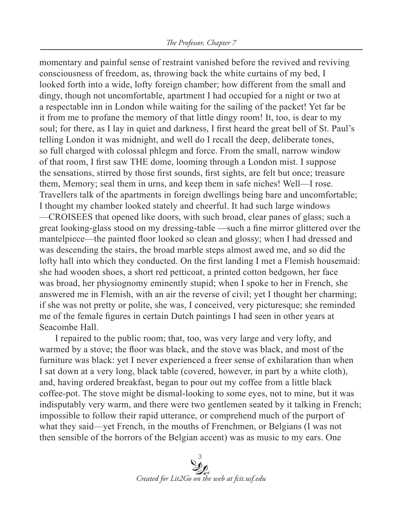momentary and painful sense of restraint vanished before the revived and reviving consciousness of freedom, as, throwing back the white curtains of my bed, I looked forth into a wide, lofty foreign chamber; how different from the small and dingy, though not uncomfortable, apartment I had occupied for a night or two at a respectable inn in London while waiting for the sailing of the packet! Yet far be it from me to profane the memory of that little dingy room! It, too, is dear to my soul; for there, as I lay in quiet and darkness, I first heard the great bell of St. Paul's telling London it was midnight, and well do I recall the deep, deliberate tones, so full charged with colossal phlegm and force. From the small, narrow window of that room, I first saw THE dome, looming through a London mist. I suppose the sensations, stirred by those first sounds, first sights, are felt but once; treasure them, Memory; seal them in urns, and keep them in safe niches! Well—I rose. Travellers talk of the apartments in foreign dwellings being bare and uncomfortable; I thought my chamber looked stately and cheerful. It had such large windows —CROISEES that opened like doors, with such broad, clear panes of glass; such a great looking-glass stood on my dressing-table —such a fine mirror glittered over the mantelpiece—the painted floor looked so clean and glossy; when I had dressed and was descending the stairs, the broad marble steps almost awed me, and so did the lofty hall into which they conducted. On the first landing I met a Flemish housemaid: she had wooden shoes, a short red petticoat, a printed cotton bedgown, her face was broad, her physiognomy eminently stupid; when I spoke to her in French, she answered me in Flemish, with an air the reverse of civil; yet I thought her charming; if she was not pretty or polite, she was, I conceived, very picturesque; she reminded me of the female figures in certain Dutch paintings I had seen in other years at Seacombe Hall.

I repaired to the public room; that, too, was very large and very lofty, and warmed by a stove; the floor was black, and the stove was black, and most of the furniture was black: yet I never experienced a freer sense of exhilaration than when I sat down at a very long, black table (covered, however, in part by a white cloth), and, having ordered breakfast, began to pour out my coffee from a little black coffee-pot. The stove might be dismal-looking to some eyes, not to mine, but it was indisputably very warm, and there were two gentlemen seated by it talking in French; impossible to follow their rapid utterance, or comprehend much of the purport of what they said—yet French, in the mouths of Frenchmen, or Belgians (I was not then sensible of the horrors of the Belgian accent) was as music to my ears. One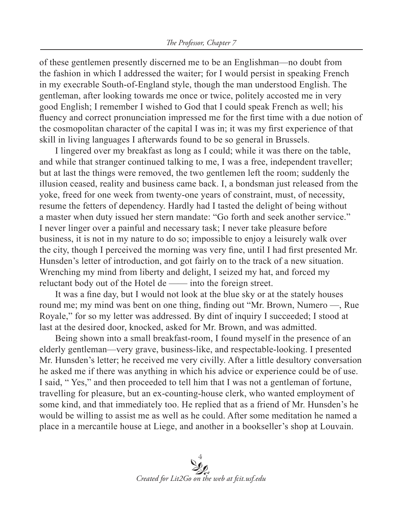of these gentlemen presently discerned me to be an Englishman—no doubt from the fashion in which I addressed the waiter; for I would persist in speaking French in my execrable South-of-England style, though the man understood English. The gentleman, after looking towards me once or twice, politely accosted me in very good English; I remember I wished to God that I could speak French as well; his fluency and correct pronunciation impressed me for the first time with a due notion of the cosmopolitan character of the capital I was in; it was my first experience of that skill in living languages I afterwards found to be so general in Brussels.

I lingered over my breakfast as long as I could; while it was there on the table, and while that stranger continued talking to me, I was a free, independent traveller; but at last the things were removed, the two gentlemen left the room; suddenly the illusion ceased, reality and business came back. I, a bondsman just released from the yoke, freed for one week from twenty-one years of constraint, must, of necessity, resume the fetters of dependency. Hardly had I tasted the delight of being without a master when duty issued her stern mandate: "Go forth and seek another service." I never linger over a painful and necessary task; I never take pleasure before business, it is not in my nature to do so; impossible to enjoy a leisurely walk over the city, though I perceived the morning was very fine, until I had first presented Mr. Hunsden's letter of introduction, and got fairly on to the track of a new situation. Wrenching my mind from liberty and delight, I seized my hat, and forced my reluctant body out of the Hotel de —— into the foreign street.

It was a fine day, but I would not look at the blue sky or at the stately houses round me; my mind was bent on one thing, finding out "Mr. Brown, Numero —, Rue Royale," for so my letter was addressed. By dint of inquiry I succeeded; I stood at last at the desired door, knocked, asked for Mr. Brown, and was admitted.

Being shown into a small breakfast-room, I found myself in the presence of an elderly gentleman—very grave, business-like, and respectable-looking. I presented Mr. Hunsden's letter; he received me very civilly. After a little desultory conversation he asked me if there was anything in which his advice or experience could be of use. I said, " Yes," and then proceeded to tell him that I was not a gentleman of fortune, travelling for pleasure, but an ex-counting-house clerk, who wanted employment of some kind, and that immediately too. He replied that as a friend of Mr. Hunsden's he would be willing to assist me as well as he could. After some meditation he named a place in a mercantile house at Liege, and another in a bookseller's shop at Louvain.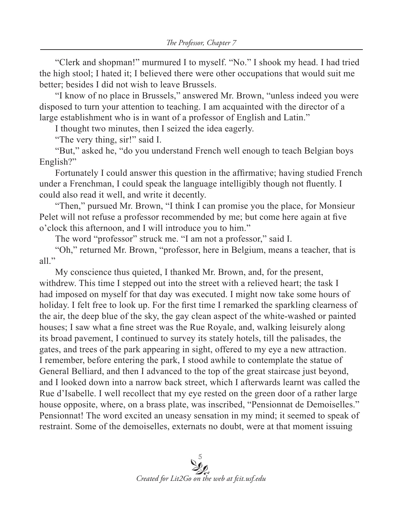"Clerk and shopman!" murmured I to myself. "No." I shook my head. I had tried the high stool; I hated it; I believed there were other occupations that would suit me better; besides I did not wish to leave Brussels.

"I know of no place in Brussels," answered Mr. Brown, "unless indeed you were disposed to turn your attention to teaching. I am acquainted with the director of a large establishment who is in want of a professor of English and Latin."

I thought two minutes, then I seized the idea eagerly.

"The very thing, sir!" said I.

"But," asked he, "do you understand French well enough to teach Belgian boys English?"

Fortunately I could answer this question in the affirmative; having studied French under a Frenchman, I could speak the language intelligibly though not fluently. I could also read it well, and write it decently.

"Then," pursued Mr. Brown, "I think I can promise you the place, for Monsieur Pelet will not refuse a professor recommended by me; but come here again at five o'clock this afternoon, and I will introduce you to him."

The word "professor" struck me. "I am not a professor," said I.

"Oh," returned Mr. Brown, "professor, here in Belgium, means a teacher, that is all."

My conscience thus quieted, I thanked Mr. Brown, and, for the present, withdrew. This time I stepped out into the street with a relieved heart; the task I had imposed on myself for that day was executed. I might now take some hours of holiday. I felt free to look up. For the first time I remarked the sparkling clearness of the air, the deep blue of the sky, the gay clean aspect of the white-washed or painted houses; I saw what a fine street was the Rue Royale, and, walking leisurely along its broad pavement, I continued to survey its stately hotels, till the palisades, the gates, and trees of the park appearing in sight, offered to my eye a new attraction. I remember, before entering the park, I stood awhile to contemplate the statue of General Belliard, and then I advanced to the top of the great staircase just beyond, and I looked down into a narrow back street, which I afterwards learnt was called the Rue d'Isabelle. I well recollect that my eye rested on the green door of a rather large house opposite, where, on a brass plate, was inscribed, "Pensionnat de Demoiselles." Pensionnat! The word excited an uneasy sensation in my mind; it seemed to speak of restraint. Some of the demoiselles, externats no doubt, were at that moment issuing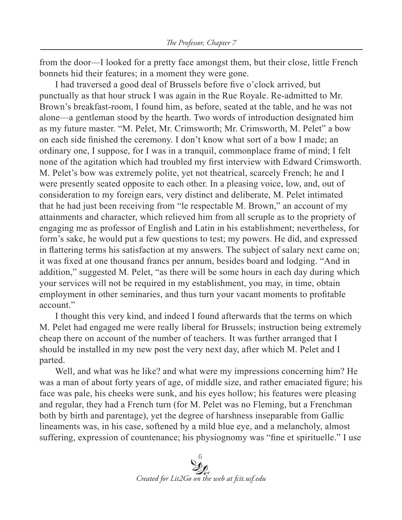from the door—I looked for a pretty face amongst them, but their close, little French bonnets hid their features; in a moment they were gone.

I had traversed a good deal of Brussels before five o'clock arrived, but punctually as that hour struck I was again in the Rue Royale. Re-admitted to Mr. Brown's breakfast-room, I found him, as before, seated at the table, and he was not alone—a gentleman stood by the hearth. Two words of introduction designated him as my future master. "M. Pelet, Mr. Crimsworth; Mr. Crimsworth, M. Pelet" a bow on each side finished the ceremony. I don't know what sort of a bow I made; an ordinary one, I suppose, for I was in a tranquil, commonplace frame of mind; I felt none of the agitation which had troubled my first interview with Edward Crimsworth. M. Pelet's bow was extremely polite, yet not theatrical, scarcely French; he and I were presently seated opposite to each other. In a pleasing voice, low, and, out of consideration to my foreign ears, very distinct and deliberate, M. Pelet intimated that he had just been receiving from "le respectable M. Brown," an account of my attainments and character, which relieved him from all scruple as to the propriety of engaging me as professor of English and Latin in his establishment; nevertheless, for form's sake, he would put a few questions to test; my powers. He did, and expressed in flattering terms his satisfaction at my answers. The subject of salary next came on; it was fixed at one thousand francs per annum, besides board and lodging. "And in addition," suggested M. Pelet, "as there will be some hours in each day during which your services will not be required in my establishment, you may, in time, obtain employment in other seminaries, and thus turn your vacant moments to profitable account."

I thought this very kind, and indeed I found afterwards that the terms on which M. Pelet had engaged me were really liberal for Brussels; instruction being extremely cheap there on account of the number of teachers. It was further arranged that I should be installed in my new post the very next day, after which M. Pelet and I parted.

Well, and what was he like? and what were my impressions concerning him? He was a man of about forty years of age, of middle size, and rather emaciated figure; his face was pale, his cheeks were sunk, and his eyes hollow; his features were pleasing and regular, they had a French turn (for M. Pelet was no Fleming, but a Frenchman both by birth and parentage), yet the degree of harshness inseparable from Gallic lineaments was, in his case, softened by a mild blue eye, and a melancholy, almost suffering, expression of countenance; his physiognomy was "fine et spirituelle." I use

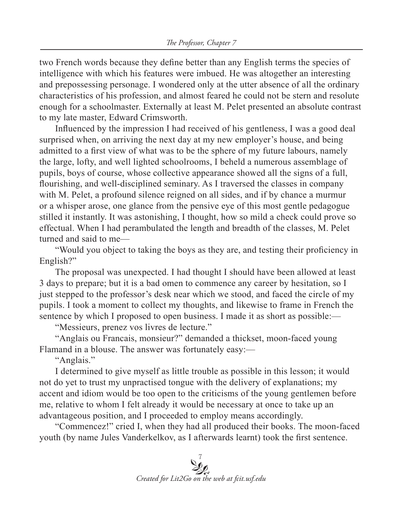two French words because they define better than any English terms the species of intelligence with which his features were imbued. He was altogether an interesting and prepossessing personage. I wondered only at the utter absence of all the ordinary characteristics of his profession, and almost feared he could not be stern and resolute enough for a schoolmaster. Externally at least M. Pelet presented an absolute contrast to my late master, Edward Crimsworth.

Influenced by the impression I had received of his gentleness, I was a good deal surprised when, on arriving the next day at my new employer's house, and being admitted to a first view of what was to be the sphere of my future labours, namely the large, lofty, and well lighted schoolrooms, I beheld a numerous assemblage of pupils, boys of course, whose collective appearance showed all the signs of a full, flourishing, and well-disciplined seminary. As I traversed the classes in company with M. Pelet, a profound silence reigned on all sides, and if by chance a murmur or a whisper arose, one glance from the pensive eye of this most gentle pedagogue stilled it instantly. It was astonishing, I thought, how so mild a check could prove so effectual. When I had perambulated the length and breadth of the classes, M. Pelet turned and said to me—

"Would you object to taking the boys as they are, and testing their proficiency in English?"

The proposal was unexpected. I had thought I should have been allowed at least 3 days to prepare; but it is a bad omen to commence any career by hesitation, so I just stepped to the professor's desk near which we stood, and faced the circle of my pupils. I took a moment to collect my thoughts, and likewise to frame in French the sentence by which I proposed to open business. I made it as short as possible:—

"Messieurs, prenez vos livres de lecture."

"Anglais ou Francais, monsieur?" demanded a thickset, moon-faced young Flamand in a blouse. The answer was fortunately easy:—

"Anglais."

I determined to give myself as little trouble as possible in this lesson; it would not do yet to trust my unpractised tongue with the delivery of explanations; my accent and idiom would be too open to the criticisms of the young gentlemen before me, relative to whom I felt already it would be necessary at once to take up an advantageous position, and I proceeded to employ means accordingly.

"Commencez!" cried I, when they had all produced their books. The moon-faced youth (by name Jules Vanderkelkov, as I afterwards learnt) took the first sentence.

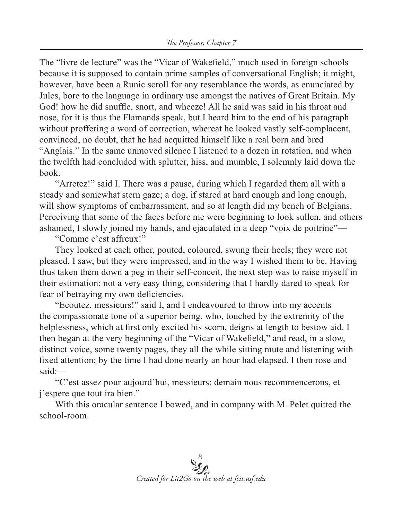The "livre de lecture" was the "Vicar of Wakefield," much used in foreign schools because it is supposed to contain prime samples of conversational English; it might, however, have been a Runic scroll for any resemblance the words, as enunciated by Jules, bore to the language in ordinary use amongst the natives of Great Britain. My God! how he did snuffle, snort, and wheeze! All he said was said in his throat and nose, for it is thus the Flamands speak, but I heard him to the end of his paragraph without proffering a word of correction, whereat he looked vastly self-complacent, convinced, no doubt, that he had acquitted himself like a real born and bred "Anglais." In the same unmoved silence I listened to a dozen in rotation, and when the twelfth had concluded with splutter, hiss, and mumble, I solemnly laid down the book.

"Arretez!" said I. There was a pause, during which I regarded them all with a steady and somewhat stern gaze; a dog, if stared at hard enough and long enough, will show symptoms of embarrassment, and so at length did my bench of Belgians. Perceiving that some of the faces before me were beginning to look sullen, and others ashamed, I slowly joined my hands, and ejaculated in a deep "voix de poitrine"—

"Comme c'est affreux!"

They looked at each other, pouted, coloured, swung their heels; they were not pleased, I saw, but they were impressed, and in the way I wished them to be. Having thus taken them down a peg in their self-conceit, the next step was to raise myself in their estimation; not a very easy thing, considering that I hardly dared to speak for fear of betraying my own deficiencies.

"Ecoutez, messieurs!" said I, and I endeavoured to throw into my accents the compassionate tone of a superior being, who, touched by the extremity of the helplessness, which at first only excited his scorn, deigns at length to bestow aid. I then began at the very beginning of the "Vicar of Wakefield," and read, in a slow, distinct voice, some twenty pages, they all the while sitting mute and listening with fixed attention; by the time I had done nearly an hour had elapsed. I then rose and said:—

"C'est assez pour aujourd'hui, messieurs; demain nous recommencerons, et j'espere que tout ira bien."

With this oracular sentence I bowed, and in company with M. Pelet quitted the school-room.

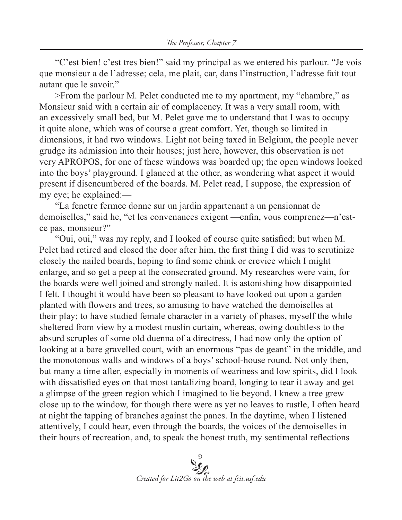"C'est bien! c'est tres bien!" said my principal as we entered his parlour. "Je vois que monsieur a de l'adresse; cela, me plait, car, dans l'instruction, l'adresse fait tout autant que le savoir."

>From the parlour M. Pelet conducted me to my apartment, my "chambre," as Monsieur said with a certain air of complacency. It was a very small room, with an excessively small bed, but M. Pelet gave me to understand that I was to occupy it quite alone, which was of course a great comfort. Yet, though so limited in dimensions, it had two windows. Light not being taxed in Belgium, the people never grudge its admission into their houses; just here, however, this observation is not very APROPOS, for one of these windows was boarded up; the open windows looked into the boys' playground. I glanced at the other, as wondering what aspect it would present if disencumbered of the boards. M. Pelet read, I suppose, the expression of my eye; he explained:—

"La fenetre fermee donne sur un jardin appartenant a un pensionnat de demoiselles," said he, "et les convenances exigent —enfin, vous comprenez—n'estce pas, monsieur?"

"Oui, oui," was my reply, and I looked of course quite satisfied; but when M. Pelet had retired and closed the door after him, the first thing I did was to scrutinize closely the nailed boards, hoping to find some chink or crevice which I might enlarge, and so get a peep at the consecrated ground. My researches were vain, for the boards were well joined and strongly nailed. It is astonishing how disappointed I felt. I thought it would have been so pleasant to have looked out upon a garden planted with flowers and trees, so amusing to have watched the demoiselles at their play; to have studied female character in a variety of phases, myself the while sheltered from view by a modest muslin curtain, whereas, owing doubtless to the absurd scruples of some old duenna of a directress, I had now only the option of looking at a bare gravelled court, with an enormous "pas de geant" in the middle, and the monotonous walls and windows of a boys' school-house round. Not only then, but many a time after, especially in moments of weariness and low spirits, did I look with dissatisfied eyes on that most tantalizing board, longing to tear it away and get a glimpse of the green region which I imagined to lie beyond. I knew a tree grew close up to the window, for though there were as yet no leaves to rustle, I often heard at night the tapping of branches against the panes. In the daytime, when I listened attentively, I could hear, even through the boards, the voices of the demoiselles in their hours of recreation, and, to speak the honest truth, my sentimental reflections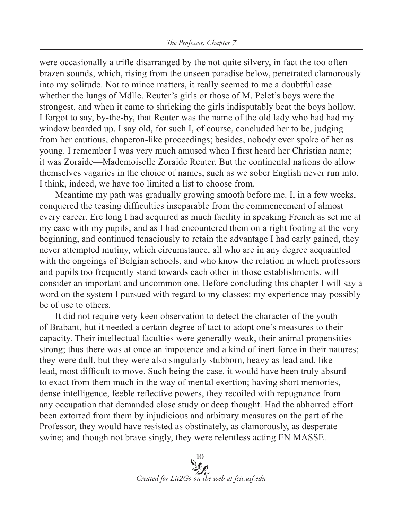were occasionally a trifle disarranged by the not quite silvery, in fact the too often brazen sounds, which, rising from the unseen paradise below, penetrated clamorously into my solitude. Not to mince matters, it really seemed to me a doubtful case whether the lungs of Mdlle. Reuter's girls or those of M. Pelet's boys were the strongest, and when it came to shrieking the girls indisputably beat the boys hollow. I forgot to say, by-the-by, that Reuter was the name of the old lady who had had my window bearded up. I say old, for such I, of course, concluded her to be, judging from her cautious, chaperon-like proceedings; besides, nobody ever spoke of her as young. I remember I was very much amused when I first heard her Christian name; it was Zoraide—Mademoiselle Zoraide Reuter. But the continental nations do allow themselves vagaries in the choice of names, such as we sober English never run into. I think, indeed, we have too limited a list to choose from.

Meantime my path was gradually growing smooth before me. I, in a few weeks, conquered the teasing difficulties inseparable from the commencement of almost every career. Ere long I had acquired as much facility in speaking French as set me at my ease with my pupils; and as I had encountered them on a right footing at the very beginning, and continued tenaciously to retain the advantage I had early gained, they never attempted mutiny, which circumstance, all who are in any degree acquainted with the ongoings of Belgian schools, and who know the relation in which professors and pupils too frequently stand towards each other in those establishments, will consider an important and uncommon one. Before concluding this chapter I will say a word on the system I pursued with regard to my classes: my experience may possibly be of use to others.

It did not require very keen observation to detect the character of the youth of Brabant, but it needed a certain degree of tact to adopt one's measures to their capacity. Their intellectual faculties were generally weak, their animal propensities strong; thus there was at once an impotence and a kind of inert force in their natures; they were dull, but they were also singularly stubborn, heavy as lead and, like lead, most difficult to move. Such being the case, it would have been truly absurd to exact from them much in the way of mental exertion; having short memories, dense intelligence, feeble reflective powers, they recoiled with repugnance from any occupation that demanded close study or deep thought. Had the abhorred effort been extorted from them by injudicious and arbitrary measures on the part of the Professor, they would have resisted as obstinately, as clamorously, as desperate swine; and though not brave singly, they were relentless acting EN MASSE.